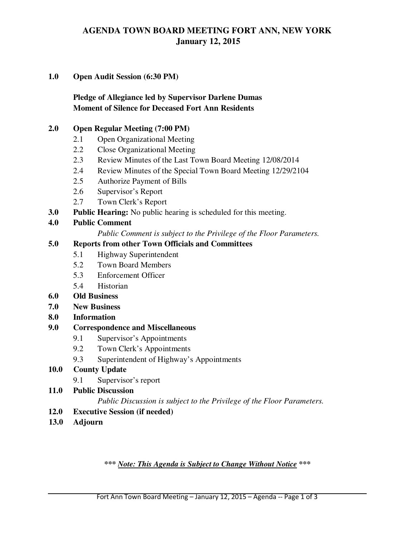# **AGENDA TOWN BOARD MEETING FORT ANN, NEW YORK January 12, 2015**

### **1.0 Open Audit Session (6:30 PM)**

 **Pledge of Allegiance led by Supervisor Darlene Dumas Moment of Silence for Deceased Fort Ann Residents** 

### **2.0 Open Regular Meeting (7:00 PM)**

- 2.1 Open Organizational Meeting
- 2.2 Close Organizational Meeting
- 2.3 Review Minutes of the Last Town Board Meeting 12/08/2014
- 2.4 Review Minutes of the Special Town Board Meeting 12/29/2104
- 2.5 Authorize Payment of Bills
- 2.6 Supervisor's Report
- 2.7 Town Clerk's Report
- **3.0 Public Hearing:** No public hearing is scheduled for this meeting.

### **4.0 Public Comment**

*Public Comment is subject to the Privilege of the Floor Parameters.* 

### **5.0 Reports from other Town Officials and Committees**

- 5.1 Highway Superintendent
	- 5.2 Town Board Members
	- 5.3 Enforcement Officer
	- 5.4 Historian
- **6.0 Old Business**
- **7.0 New Business**
- **8.0 Information**
- **9.0 Correspondence and Miscellaneous** 
	- 9.1 Supervisor's Appointments
	- 9.2 Town Clerk's Appointments
	- 9.3 Superintendent of Highway's Appointments

### **10.0 County Update**

- 9.1 Supervisor's report
- **11.0 Public Discussion**

#### *Public Discussion is subject to the Privilege of the Floor Parameters.*

- **12.0 Executive Session (if needed)**
- **13.0 Adjourn**

*\*\*\* Note: This Agenda is Subject to Change Without Notice \*\*\**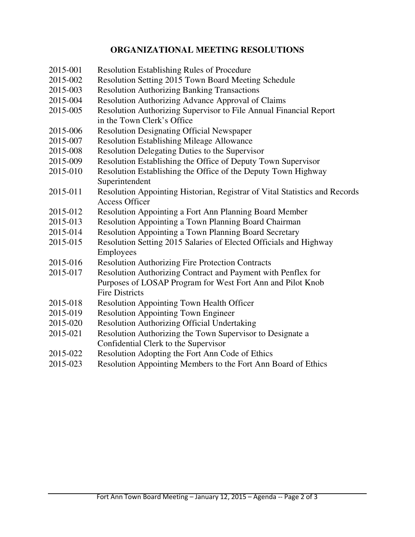## **ORGANIZATIONAL MEETING RESOLUTIONS**

- 2015-001 Resolution Establishing Rules of Procedure
- 2015-002 Resolution Setting 2015 Town Board Meeting Schedule
- 2015-003 Resolution Authorizing Banking Transactions
- 2015-004 Resolution Authorizing Advance Approval of Claims
- 2015-005 Resolution Authorizing Supervisor to File Annual Financial Report in the Town Clerk's Office
- 2015-006 Resolution Designating Official Newspaper
- 2015-007 Resolution Establishing Mileage Allowance
- 2015-008 Resolution Delegating Duties to the Supervisor
- 2015-009 Resolution Establishing the Office of Deputy Town Supervisor
- 2015-010 Resolution Establishing the Office of the Deputy Town Highway Superintendent
- 2015-011 Resolution Appointing Historian, Registrar of Vital Statistics and Records Access Officer
- 2015-012 Resolution Appointing a Fort Ann Planning Board Member
- 2015-013 Resolution Appointing a Town Planning Board Chairman
- 2015-014 Resolution Appointing a Town Planning Board Secretary
- 2015-015 Resolution Setting 2015 Salaries of Elected Officials and Highway Employees
- 2015-016 Resolution Authorizing Fire Protection Contracts
- 2015-017 Resolution Authorizing Contract and Payment with Penflex for Purposes of LOSAP Program for West Fort Ann and Pilot Knob Fire Districts
- 2015-018 Resolution Appointing Town Health Officer
- 2015-019 Resolution Appointing Town Engineer
- 2015-020 Resolution Authorizing Official Undertaking
- 2015-021 Resolution Authorizing the Town Supervisor to Designate a Confidential Clerk to the Supervisor
- 2015-022 Resolution Adopting the Fort Ann Code of Ethics
- 2015-023 Resolution Appointing Members to the Fort Ann Board of Ethics